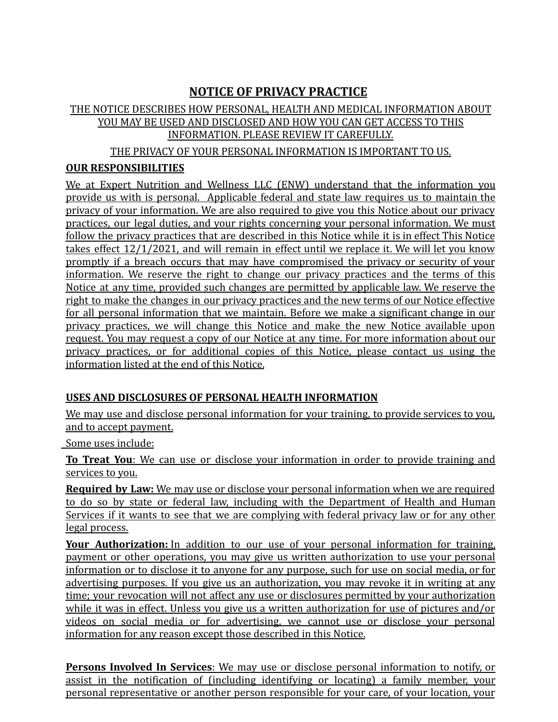# **NOTICE OF PRIVACY PRACTICE**

# THE NOTICE DESCRIBES HOW PERSONAL, HEALTH AND MEDICAL INFORMATION ABOUT YOU MAY BE USED AND DISCLOSED AND HOW YOU CAN GET ACCESS TO THIS INFORMATION. PLEASE REVIEW IT CAREFULLY.

THE PRIVACY OF YOUR PERSONAL INFORMATION IS IMPORTANT TO US.

### **OUR RESPONSIBILITIES**

We at Expert Nutrition and Wellness LLC (ENW) understand that the information you provide us with is personal. Applicable federal and state law requires us to maintain the privacy of your information. We are also required to give you this Notice about our privacy practices, our legal duties, and your rights concerning your personal information. We must follow the privacy practices that are described in this Notice while it is in effect This Notice takes effect 12/1/2021, and will remain in effect until we replace it. We will let you know promptly if a breach occurs that may have compromised the privacy or security of your information. We reserve the right to change our privacy practices and the terms of this Notice at any time, provided such changes are permitted by applicable law. We reserve the right to make the changes in our privacy practices and the new terms of our Notice effective for all personal information that we maintain. Before we make a significant change in our privacy practices, we will change this Notice and make the new Notice available upon request. You may request a copy of our Notice at any time. For more information about our privacy practices, or for additional copies of this Notice, please contact us using the information listed at the end of this Notice.

### **USES AND DISCLOSURES OF PERSONAL HEALTH INFORMATION**

We may use and disclose personal information for your training, to provide services to you, and to accept payment.

Some uses include:

**To Treat You**: We can use or disclose your information in order to provide training and services to you.

**Required by Law:** We may use or disclose your personal information when we are required to do so by state or federal law, including with the Department of Health and Human Services if it wants to see that we are complying with federal privacy law or for any other legal process.

**Your Authorization:** In addition to our use of your personal information for training, payment or other operations, you may give us written authorization to use your personal information or to disclose it to anyone for any purpose, such for use on social media, or for advertising purposes. If you give us an authorization, you may revoke it in writing at any time; your revocation will not affect any use or disclosures permitted by your authorization while it was in effect. Unless you give us a written authorization for use of pictures and/or videos on social media or for advertising, we cannot use or disclose your personal information for any reason except those described in this Notice.

**Persons Involved In Services**: We may use or disclose personal information to notify, or assist in the notification of (including identifying or locating) a family member, your personal representative or another person responsible for your care, of your location, your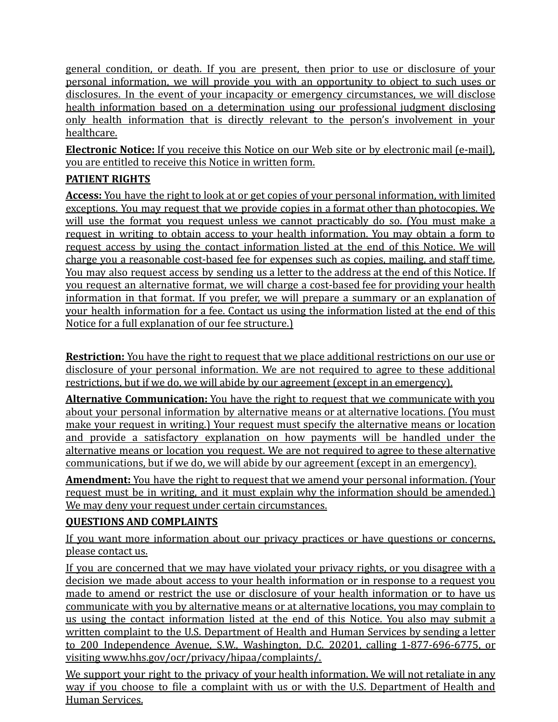general condition, or death. If you are present, then prior to use or disclosure of your personal information, we will provide you with an opportunity to object to such uses or disclosures. In the event of your incapacity or emergency circumstances, we will disclose health information based on a determination using our professional judgment disclosing only health information that is directly relevant to the person's involvement in your healthcare.

**Electronic Notice:** If you receive this Notice on our Web site or by electronic mail (e-mail), you are entitled to receive this Notice in written form.

## **PATIENT RIGHTS**

**Access:** You have the right to look at or get copies of your personal information, with limited exceptions. You may request that we provide copies in a format other than photocopies. We will use the format you request unless we cannot practicably do so. (You must make a request in writing to obtain access to your health information. You may obtain a form to request access by using the contact information listed at the end of this Notice. We will charge you a reasonable cost-based fee for expenses such as copies, mailing, and staff time. You may also request access by sending us a letter to the address at the end of this Notice. If you request an alternative format, we will charge a cost-based fee for providing your health information in that format. If you prefer, we will prepare a summary or an explanation of your health information for a fee. Contact us using the information listed at the end of this Notice for a full explanation of our fee structure.)

**Restriction:** You have the right to request that we place additional restrictions on our use or disclosure of your personal information. We are not required to agree to these additional restrictions, but if we do, we will abide by our agreement (except in an emergency).

**Alternative Communication:** You have the right to request that we communicate with you about your personal information by alternative means or at alternative locations. (You must make your request in writing.) Your request must specify the alternative means or location and provide a satisfactory explanation on how payments will be handled under the alternative means or location you request. We are not required to agree to these alternative communications, but if we do, we will abide by our agreement (except in an emergency).

**Amendment:** You have the right to request that we amend your personal information. (Your request must be in writing, and it must explain why the information should be amended.) We may deny your request under certain circumstances.

### **QUESTIONS AND COMPLAINTS**

If you want more information about our privacy practices or have questions or concerns, please contact us.

If you are concerned that we may have violated your privacy rights, or you disagree with a decision we made about access to your health information or in response to a request you made to amend or restrict the use or disclosure of your health information or to have us communicate with you by alternative means or at alternative locations, you may complain to us using the contact information listed at the end of this Notice. You also may submit a written complaint to the U.S. Department of Health and Human Services by sending a letter to 200 Independence Avenue, S.W., Washington, D.C. 20201, calling 1-877-696-6775, or visiting www.hhs.gov/ocr/privacy/hipaa/complaints/.

We support your right to the privacy of your health information. We will not retaliate in any way if you choose to file a complaint with us or with the U.S. Department of Health and Human Services.